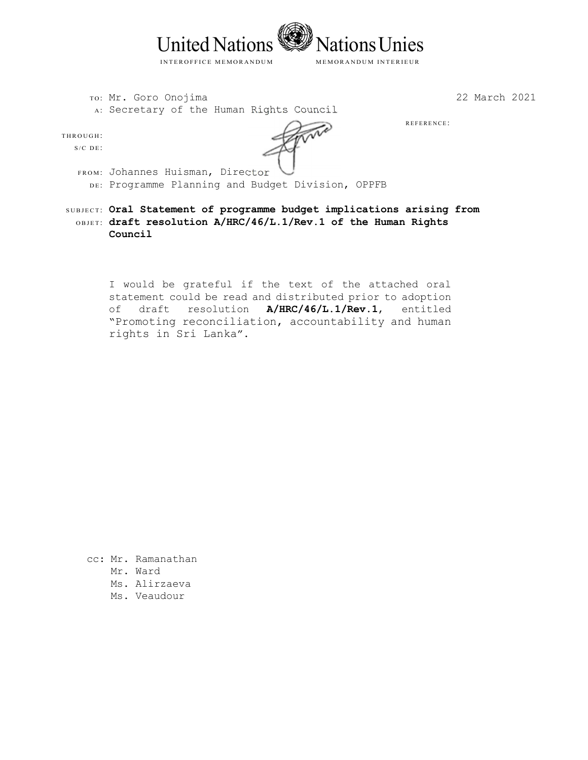

ro: Mr. Goro Onojima A: Secretary of the Human Rights Council 22 March 2021

REFERENCE:

THROUGH:

 $S/C$  DE:

- FROM: Johannes Huisman, Director DE: Programme Planning and Budget Division, OPPFB
- SUBJECT: Oral Statement of programme budget implications arising from OBJET: draft resolution A/HRC/46/L.1/Rev.1 of the Human Rights **Council**

I would be grateful if the text of the attached oral statement could be read and distributed prior to adoption of draft resolution **A/HRC/46/L.1/Rev.1**, entitled "Promoting reconciliation, accountability and human rights in Sri Lanka".

- cc: Mr. Ramanathan
	- Mr. Ward
	- Ms. Alirzaeva
	- Ms. Veaudour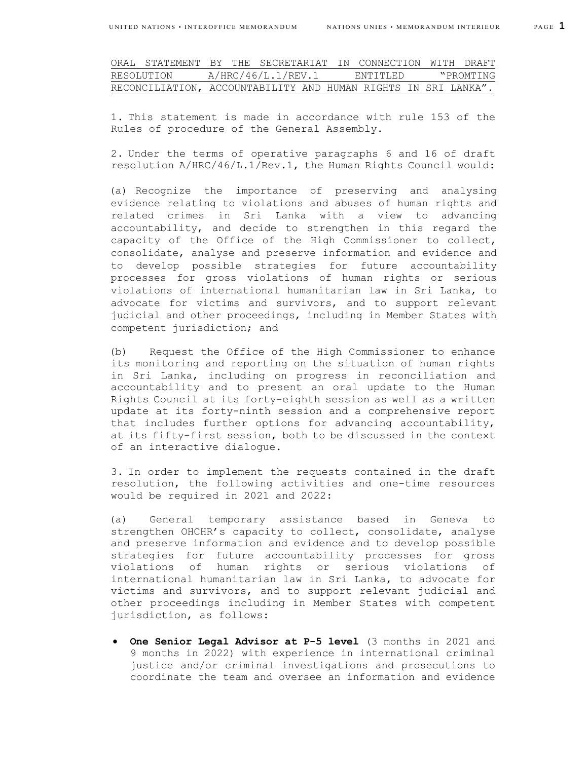| ORAL STATEMENT BY THE SECRETARIAT IN CONNECTION WITH DRAFT     |  |                    |  |           |  |           |
|----------------------------------------------------------------|--|--------------------|--|-----------|--|-----------|
| RESOLUTION                                                     |  | A/HRC/46/L.1/REV.1 |  | ENTITIED. |  | "PROMTING |
| RECONCILIATION, ACCOUNTABILITY AND HUMAN RIGHTS IN SRI LANKA". |  |                    |  |           |  |           |

1. This statement is made in accordance with rule 153 of the Rules of procedure of the General Assembly.

2. Under the terms of operative paragraphs 6 and 16 of draft resolution A/HRC/46/L.1/Rev.1, the Human Rights Council would:

(a) Recognize the importance of preserving and analysing evidence relating to violations and abuses of human rights and related crimes in Sri Lanka with a view to advancing accountability, and decide to strengthen in this regard the capacity of the Office of the High Commissioner to collect, consolidate, analyse and preserve information and evidence and to develop possible strategies for future accountability processes for gross violations of human rights or serious violations of international humanitarian law in Sri Lanka, to advocate for victims and survivors, and to support relevant judicial and other proceedings, including in Member States with competent jurisdiction; and

(b) Request the Office of the High Commissioner to enhance its monitoring and reporting on the situation of human rights in Sri Lanka, including on progress in reconciliation and accountability and to present an oral update to the Human Rights Council at its forty-eighth session as well as a written update at its forty-ninth session and a comprehensive report that includes further options for advancing accountability, at its fifty-first session, both to be discussed in the context of an interactive dialogue.

3. In order to implement the requests contained in the draft resolution, the following activities and one-time resources would be required in 2021 and 2022:

(a) General temporary assistance based in Geneva to strengthen OHCHR's capacity to collect, consolidate, analyse and preserve information and evidence and to develop possible strategies for future accountability processes for gross violations of human rights or serious violations of international humanitarian law in Sri Lanka, to advocate for victims and survivors, and to support relevant judicial and other proceedings including in Member States with competent jurisdiction, as follows:

 **One Senior Legal Advisor at P-5 level** (3 months in 2021 and 9 months in 2022) with experience in international criminal justice and/or criminal investigations and prosecutions to coordinate the team and oversee an information and evidence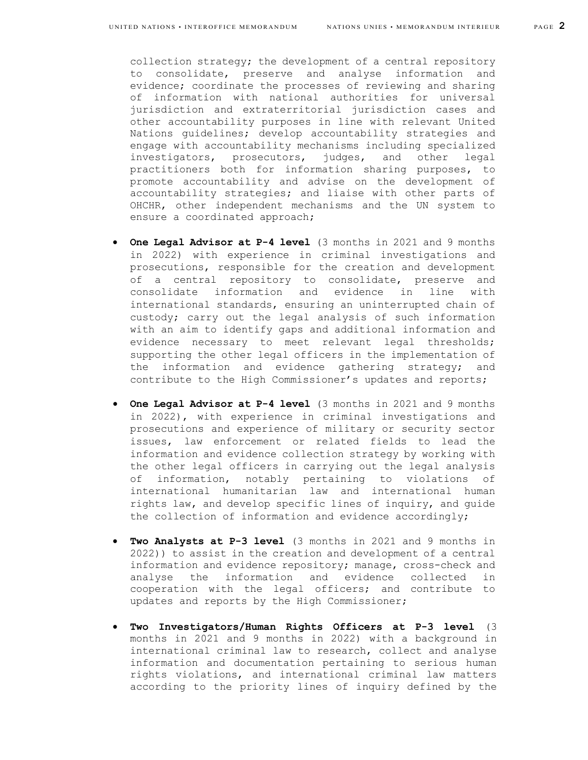collection strategy; the development of a central repository to consolidate, preserve and analyse information and evidence; coordinate the processes of reviewing and sharing of information with national authorities for universal jurisdiction and extraterritorial jurisdiction cases and other accountability purposes in line with relevant United Nations guidelines; develop accountability strategies and engage with accountability mechanisms including specialized investigators, prosecutors, judges, and other legal practitioners both for information sharing purposes, to promote accountability and advise on the development of accountability strategies; and liaise with other parts of OHCHR, other independent mechanisms and the UN system to ensure a coordinated approach;

- **One Legal Advisor at P-4 level** (3 months in 2021 and 9 months in 2022) with experience in criminal investigations and prosecutions, responsible for the creation and development of a central repository to consolidate, preserve and consolidate information and evidence in line with international standards, ensuring an uninterrupted chain of custody; carry out the legal analysis of such information with an aim to identify gaps and additional information and evidence necessary to meet relevant legal thresholds; supporting the other legal officers in the implementation of the information and evidence gathering strategy; and contribute to the High Commissioner's updates and reports;
- **One Legal Advisor at P-4 level** (3 months in 2021 and 9 months in 2022), with experience in criminal investigations and prosecutions and experience of military or security sector issues, law enforcement or related fields to lead the information and evidence collection strategy by working with the other legal officers in carrying out the legal analysis of information, notably pertaining to violations of international humanitarian law and international human rights law, and develop specific lines of inquiry, and guide the collection of information and evidence accordingly;
- **Two Analysts at P-3 level** (3 months in 2021 and 9 months in 2022)) to assist in the creation and development of a central information and evidence repository; manage, cross-check and analyse the information and evidence collected in cooperation with the legal officers; and contribute to updates and reports by the High Commissioner;
- **Two Investigators/Human Rights Officers at P-3 level** (3 months in 2021 and 9 months in 2022) with a background in international criminal law to research, collect and analyse information and documentation pertaining to serious human rights violations, and international criminal law matters according to the priority lines of inquiry defined by the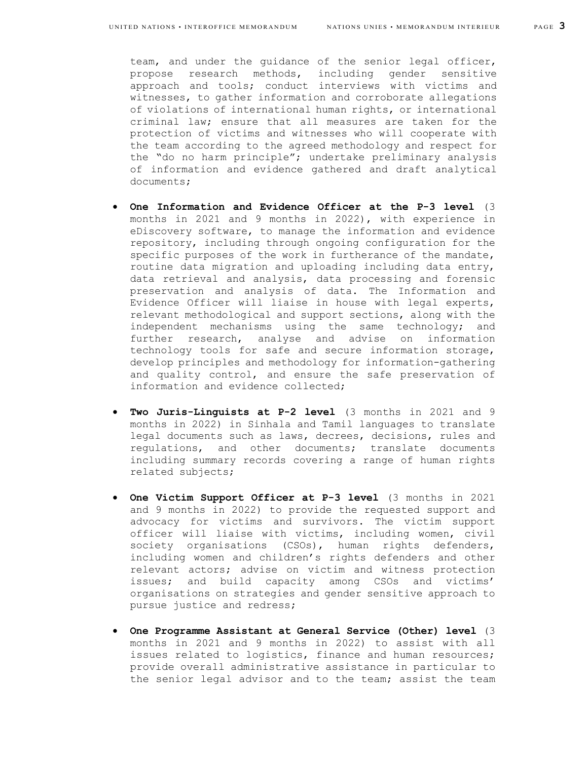team, and under the guidance of the senior legal officer, propose research methods, including gender sensitive approach and tools; conduct interviews with victims and witnesses, to gather information and corroborate allegations of violations of international human rights, or international criminal law; ensure that all measures are taken for the protection of victims and witnesses who will cooperate with the team according to the agreed methodology and respect for the "do no harm principle"; undertake preliminary analysis of information and evidence gathered and draft analytical documents;

- **One Information and Evidence Officer at the P-3 level** (3 months in 2021 and 9 months in 2022), with experience in eDiscovery software, to manage the information and evidence repository, including through ongoing configuration for the specific purposes of the work in furtherance of the mandate, routine data migration and uploading including data entry, data retrieval and analysis, data processing and forensic preservation and analysis of data. The Information and Evidence Officer will liaise in house with legal experts, relevant methodological and support sections, along with the independent mechanisms using the same technology; and further research, analyse and advise on information technology tools for safe and secure information storage, develop principles and methodology for information-gathering and quality control, and ensure the safe preservation of information and evidence collected;
- **Two Juris-Linguists at P-2 level** (3 months in 2021 and 9 months in 2022) in Sinhala and Tamil languages to translate legal documents such as laws, decrees, decisions, rules and regulations, and other documents; translate documents including summary records covering a range of human rights related subjects;
- **One Victim Support Officer at P-3 level** (3 months in 2021 and 9 months in 2022) to provide the requested support and advocacy for victims and survivors**.** The victim support officer will liaise with victims, including women, civil society organisations (CSOs), human rights defenders, including women and children's rights defenders and other relevant actors; advise on victim and witness protection issues; and build capacity among CSOs and victims' organisations on strategies and gender sensitive approach to pursue justice and redress;
- **One Programme Assistant at General Service (Other) level** (3 months in 2021 and 9 months in 2022) to assist with all issues related to logistics, finance and human resources; provide overall administrative assistance in particular to the senior legal advisor and to the team; assist the team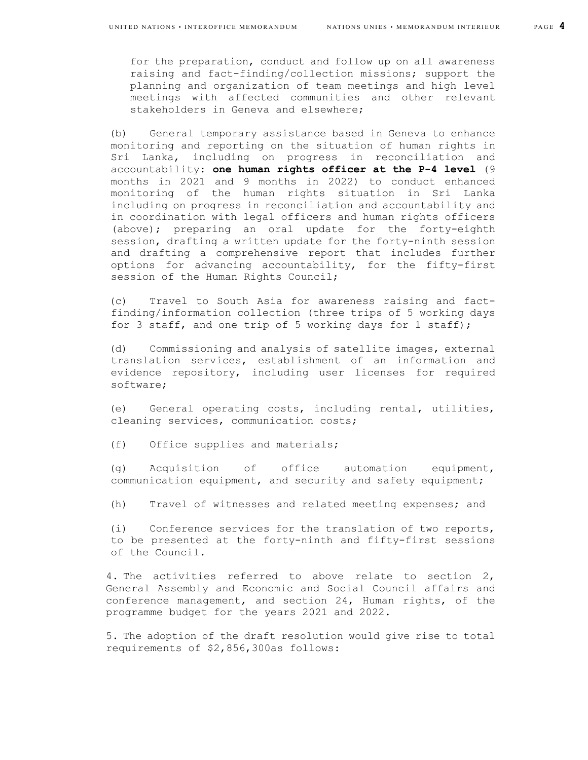for the preparation, conduct and follow up on all awareness raising and fact-finding/collection missions; support the planning and organization of team meetings and high level meetings with affected communities and other relevant stakeholders in Geneva and elsewhere;

(b) General temporary assistance based in Geneva to enhance monitoring and reporting on the situation of human rights in Sri Lanka, including on progress in reconciliation and accountability: **one human rights officer at the P-4 level** (9 months in 2021 and 9 months in 2022) to conduct enhanced monitoring of the human rights situation in Sri Lanka including on progress in reconciliation and accountability and in coordination with legal officers and human rights officers (above); preparing an oral update for the forty-eighth session, drafting a written update for the forty-ninth session and drafting a comprehensive report that includes further options for advancing accountability, for the fifty-first session of the Human Rights Council;

(c) Travel to South Asia for awareness raising and factfinding/information collection (three trips of 5 working days for 3 staff, and one trip of 5 working days for 1 staff);

(d) Commissioning and analysis of satellite images, external translation services, establishment of an information and evidence repository, including user licenses for required software;

(e) General operating costs, including rental, utilities, cleaning services, communication costs;

(f) Office supplies and materials;

(g) Acquisition of office automation equipment, communication equipment, and security and safety equipment;

(h) Travel of witnesses and related meeting expenses; and

(i) Conference services for the translation of two reports, to be presented at the forty-ninth and fifty-first sessions of the Council.

4. The activities referred to above relate to section 2, General Assembly and Economic and Social Council affairs and conference management, and section 24, Human rights, of the programme budget for the years 2021 and 2022.

5. The adoption of the draft resolution would give rise to total requirements of \$2,856,300as follows: